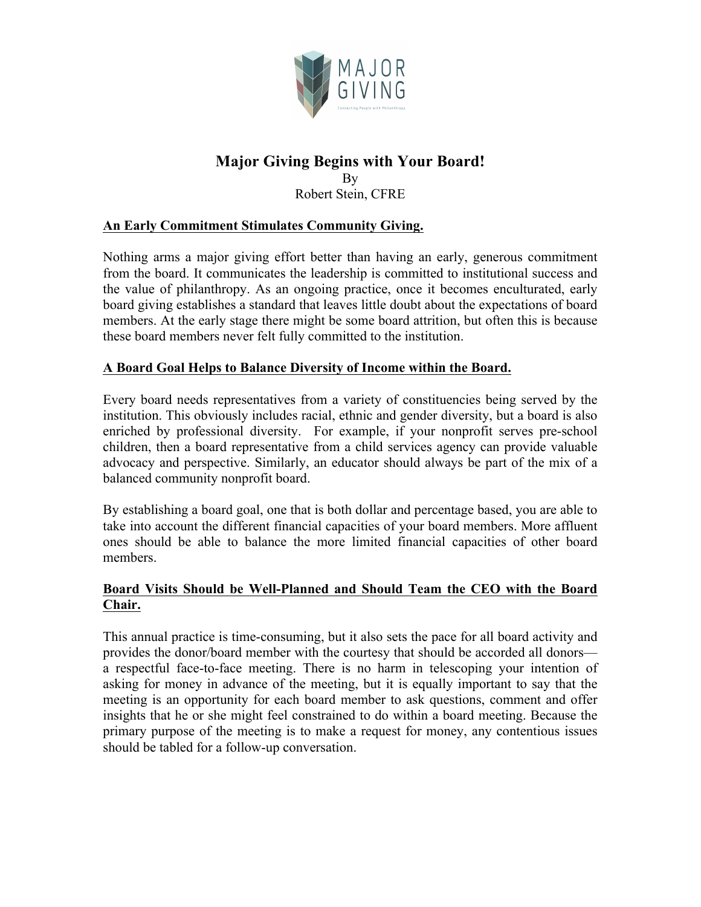

# **Major Giving Begins with Your Board!** By

Robert Stein, CFRE

## **An Early Commitment Stimulates Community Giving.**

Nothing arms a major giving effort better than having an early, generous commitment from the board. It communicates the leadership is committed to institutional success and the value of philanthropy. As an ongoing practice, once it becomes enculturated, early board giving establishes a standard that leaves little doubt about the expectations of board members. At the early stage there might be some board attrition, but often this is because these board members never felt fully committed to the institution.

## **A Board Goal Helps to Balance Diversity of Income within the Board.**

Every board needs representatives from a variety of constituencies being served by the institution. This obviously includes racial, ethnic and gender diversity, but a board is also enriched by professional diversity. For example, if your nonprofit serves pre-school children, then a board representative from a child services agency can provide valuable advocacy and perspective. Similarly, an educator should always be part of the mix of a balanced community nonprofit board.

By establishing a board goal, one that is both dollar and percentage based, you are able to take into account the different financial capacities of your board members. More affluent ones should be able to balance the more limited financial capacities of other board members.

# **Board Visits Should be Well-Planned and Should Team the CEO with the Board Chair.**

This annual practice is time-consuming, but it also sets the pace for all board activity and provides the donor/board member with the courtesy that should be accorded all donors a respectful face-to-face meeting. There is no harm in telescoping your intention of asking for money in advance of the meeting, but it is equally important to say that the meeting is an opportunity for each board member to ask questions, comment and offer insights that he or she might feel constrained to do within a board meeting. Because the primary purpose of the meeting is to make a request for money, any contentious issues should be tabled for a follow-up conversation.